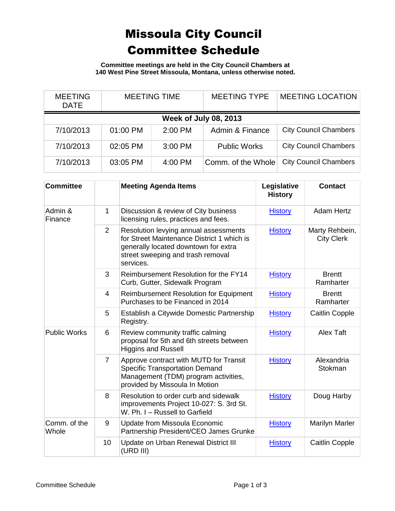## Missoula City Council Committee Schedule

**Committee meetings are held in the City Council Chambers at 140 West Pine Street Missoula, Montana, unless otherwise noted.**

| <b>MEETING</b><br><b>DATE</b> | <b>MEETING TIME</b> |         | <b>MEETING TYPE</b> | <b>MEETING LOCATION</b>      |  |
|-------------------------------|---------------------|---------|---------------------|------------------------------|--|
| <b>Week of July 08, 2013</b>  |                     |         |                     |                              |  |
| 7/10/2013                     | 01:00 PM            | 2:00 PM | Admin & Finance     | <b>City Council Chambers</b> |  |
| 7/10/2013                     | 02:05 PM            | 3:00 PM | <b>Public Works</b> | <b>City Council Chambers</b> |  |
| 7/10/2013                     | 03:05 PM            | 4:00 PM | Comm. of the Whole  | <b>City Council Chambers</b> |  |

| <b>Committee</b>      |                | <b>Meeting Agenda Items</b>                                                                                                                                                   | Legislative<br><b>History</b> | <b>Contact</b>                      |
|-----------------------|----------------|-------------------------------------------------------------------------------------------------------------------------------------------------------------------------------|-------------------------------|-------------------------------------|
| Admin &<br>Finance    | 1              | Discussion & review of City business<br>licensing rules, practices and fees.                                                                                                  | <b>History</b>                | <b>Adam Hertz</b>                   |
|                       | 2              | Resolution levying annual assessments<br>for Street Maintenance District 1 which is<br>generally located downtown for extra<br>street sweeping and trash removal<br>services. | <b>History</b>                | Marty Rehbein,<br><b>City Clerk</b> |
|                       | 3              | Reimbursement Resolution for the FY14<br>Curb, Gutter, Sidewalk Program                                                                                                       | <b>History</b>                | <b>Brentt</b><br>Ramharter          |
|                       | $\overline{4}$ | <b>Reimbursement Resolution for Equipment</b><br>Purchases to be Financed in 2014                                                                                             | <b>History</b>                | <b>Brentt</b><br>Ramharter          |
|                       | 5              | Establish a Citywide Domestic Partnership<br>Registry.                                                                                                                        | <b>History</b>                | <b>Caitlin Copple</b>               |
| <b>Public Works</b>   | 6              | Review community traffic calming<br>proposal for 5th and 6th streets between<br><b>Higgins and Russell</b>                                                                    | <b>History</b>                | Alex Taft                           |
|                       | $\overline{7}$ | Approve contract with MUTD for Transit<br><b>Specific Transportation Demand</b><br>Management (TDM) program activities,<br>provided by Missoula In Motion                     | <b>History</b>                | Alexandria<br><b>Stokman</b>        |
|                       | 8              | Resolution to order curb and sidewalk<br>improvements Project 10-027: S. 3rd St.<br>W. Ph. I - Russell to Garfield                                                            | <b>History</b>                | Doug Harby                          |
| Comm. of the<br>Whole | 9              | Update from Missoula Economic<br>Partnership President/CEO James Grunke                                                                                                       | <b>History</b>                | Marilyn Marler                      |
|                       | 10             | Update on Urban Renewal District III<br>(URD III)                                                                                                                             | <b>History</b>                | <b>Caitlin Copple</b>               |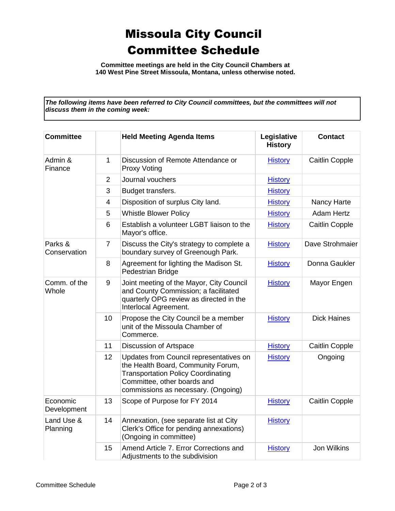## Missoula City Council Committee Schedule

**Committee meetings are held in the City Council Chambers at 140 West Pine Street Missoula, Montana, unless otherwise noted.**

*The following items have been referred to City Council committees, but the committees will not discuss them in the coming week:*

| <b>Committee</b>        |                | <b>Held Meeting Agenda Items</b>                                                                                                                                                                 | Legislative<br><b>History</b> | <b>Contact</b>        |
|-------------------------|----------------|--------------------------------------------------------------------------------------------------------------------------------------------------------------------------------------------------|-------------------------------|-----------------------|
| Admin &<br>Finance      | $\mathbf{1}$   | Discussion of Remote Attendance or<br><b>Proxy Voting</b>                                                                                                                                        | <b>History</b>                | <b>Caitlin Copple</b> |
|                         | $\overline{2}$ | Journal vouchers                                                                                                                                                                                 | <b>History</b>                |                       |
|                         | 3              | Budget transfers.                                                                                                                                                                                | <b>History</b>                |                       |
|                         | $\overline{4}$ | Disposition of surplus City land.                                                                                                                                                                | <b>History</b>                | <b>Nancy Harte</b>    |
|                         | 5              | <b>Whistle Blower Policy</b>                                                                                                                                                                     | <b>History</b>                | <b>Adam Hertz</b>     |
|                         | 6              | Establish a volunteer LGBT liaison to the<br>Mayor's office.                                                                                                                                     | <b>History</b>                | <b>Caitlin Copple</b> |
| Parks &<br>Conservation | $\overline{7}$ | Discuss the City's strategy to complete a<br>boundary survey of Greenough Park.                                                                                                                  | <b>History</b>                | Dave Strohmaier       |
|                         | 8              | Agreement for lighting the Madison St.<br>Pedestrian Bridge                                                                                                                                      | <b>History</b>                | Donna Gaukler         |
| Comm. of the<br>Whole   | 9              | Joint meeting of the Mayor, City Council<br>and County Commission; a facilitated<br>quarterly OPG review as directed in the<br>Interlocal Agreement.                                             | <b>History</b>                | Mayor Engen           |
|                         | 10             | Propose the City Council be a member<br>unit of the Missoula Chamber of<br>Commerce.                                                                                                             | <b>History</b>                | <b>Dick Haines</b>    |
|                         | 11             | Discussion of Artspace                                                                                                                                                                           | <b>History</b>                | <b>Caitlin Copple</b> |
|                         | 12             | Updates from Council representatives on<br>the Health Board, Community Forum,<br><b>Transportation Policy Coordinating</b><br>Committee, other boards and<br>commissions as necessary. (Ongoing) | <b>History</b>                | Ongoing               |
| Economic<br>Development | 13             | Scope of Purpose for FY 2014                                                                                                                                                                     | <b>History</b>                | <b>Caitlin Copple</b> |
| Land Use &<br>Planning  | 14             | Annexation, (see separate list at City<br>Clerk's Office for pending annexations)<br>(Ongoing in committee)                                                                                      | <b>History</b>                |                       |
|                         | 15             | Amend Article 7. Error Corrections and<br>Adjustments to the subdivision                                                                                                                         | <b>History</b>                | <b>Jon Wilkins</b>    |